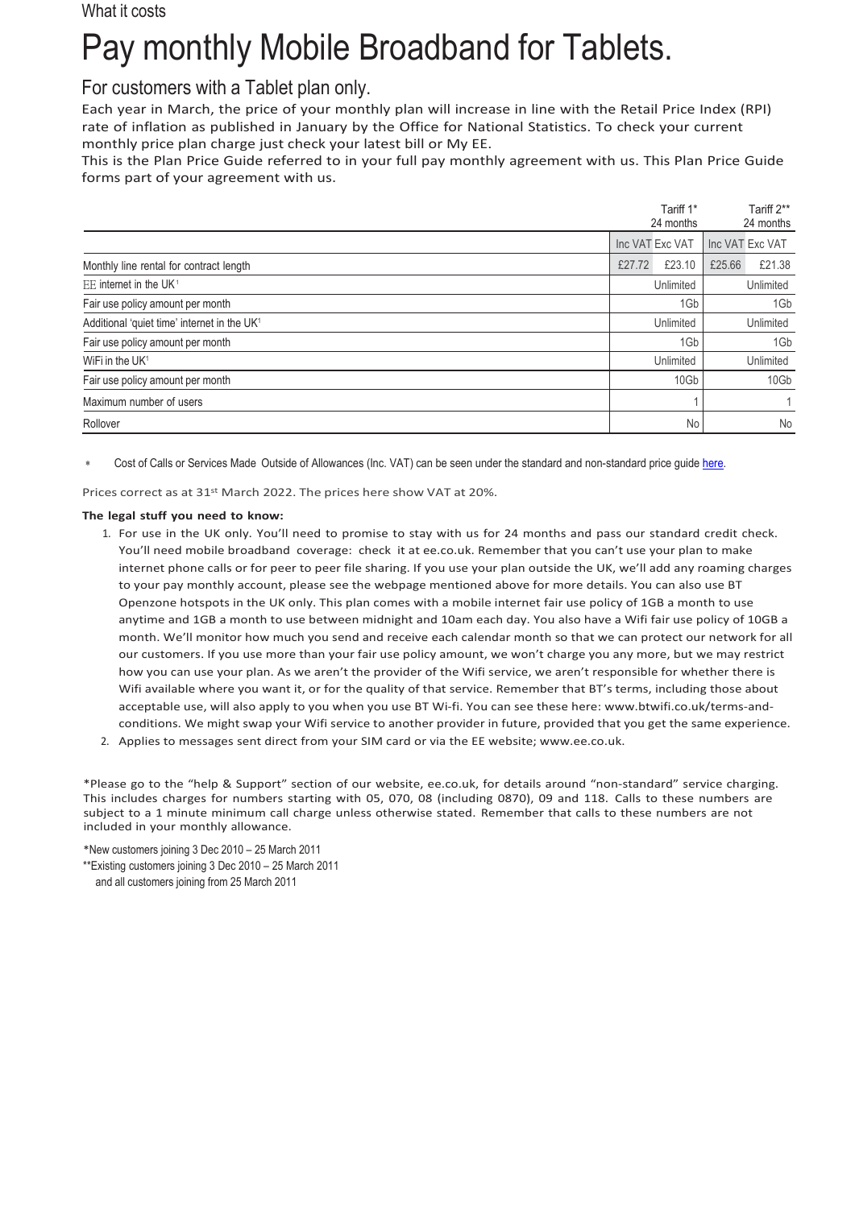### What it costs

# Pay monthly Mobile Broadband for Tablets.

## For customers with a Tablet plan only.

Each year in March, the price of your monthly plan will increase in line with the Retail Price Index (RPI) rate of inflation as published in January by the Office for National Statistics. To check your current monthly price plan charge just check your latest bill or My EE.

This is the Plan Price Guide referred to in your full pay monthly agreement with us. This Plan Price Guide forms part of your agreement with us.

|                                                         |        | Tariff 1*<br>24 months |        | Tariff 2**<br>24 months |
|---------------------------------------------------------|--------|------------------------|--------|-------------------------|
|                                                         |        | Inc VAT Exc VAT        |        | Inc VAT Exc VAT         |
| Monthly line rental for contract length                 | £27.72 | £23.10                 | £25.66 | £21.38                  |
| EE internet in the UK <sup>1</sup>                      |        | Unlimited              |        | Unlimited               |
| Fair use policy amount per month                        |        | 1Gb                    |        | 1Gb                     |
| Additional 'quiet time' internet in the UK <sup>1</sup> |        | Unlimited              |        | Unlimited               |
| Fair use policy amount per month                        |        | 1Gb                    |        | 1Gb                     |
| WiFi in the UK <sup>1</sup>                             |        | Unlimited              |        | Unlimited               |
| Fair use policy amount per month                        |        | 10Gb                   |        | 10Gb                    |
| Maximum number of users                                 |        |                        |        | 1                       |
| Rollover                                                |        | No                     |        | No                      |

Cost of Calls or Services Made Outside of Allowances (Inc. VAT) can be seen under the standard and non-standard price quid[e here.](https://ee.co.uk/help/help-new/price-plans/legacy-brand/pay-monthly-price-plans)

Prices correct as at 31st March 2022. The prices here show VAT at 20%.

#### **The legal stuff you need to know:**

- 1. For use in the UK only. You'll need to promise to stay with us for 24 months and pass our standard credit check. You'll need mobile broadband coverage: check it at ee.co.uk. Remember that you can't use your plan to make internet phone calls or for peer to peer file sharing. If you use your plan outside the UK, we'll add any roaming charges to your pay monthly account, please see the webpage mentioned above for more details. You can also use BT Openzone hotspots in the UK only. This plan comes with a mobile internet fair use policy of 1GB a month to use anytime and 1GB a month to use between midnight and 10am each day. You also have a Wifi fair use policy of 10GB a month. We'll monitor how much you send and receive each calendar month so that we can protect our network for all our customers. If you use more than your fair use policy amount, we won't charge you any more, but we may restrict how you can use your plan. As we aren't the provider of the Wifi service, we aren't responsible for whether there is Wifi available where you want it, or for the quality of that service. Remember that BT's terms, including those about acceptable use, will also apply to you when you use BT Wi-fi. You can see these here: [www.btwifi.co.uk/terms-and](http://www.btwifi.co.uk/terms-and-)conditions. We might swap your Wifi service to another provider in future, provided that you get the same experience.
- 2. Applies to messages sent direct from your SIM card or via the EE website[; www.ee.co.uk.](http://www.ee.co.uk/)

\*Please go to the "help & Support" section of our website, ee.co.uk, for details around "non-standard" service charging. This includes charges for numbers starting with 05, 070, 08 (including 0870), 09 and 118. Calls to these numbers are subject to a 1 minute minimum call charge unless otherwise stated. Remember that calls to these numbers are not included in your monthly allowance.

\*New customers joining 3 Dec 2010 – 25 March 2011 \*\*Existing customers joining 3 Dec 2010 – 25 March 2011 and all customers joining from 25 March 2011